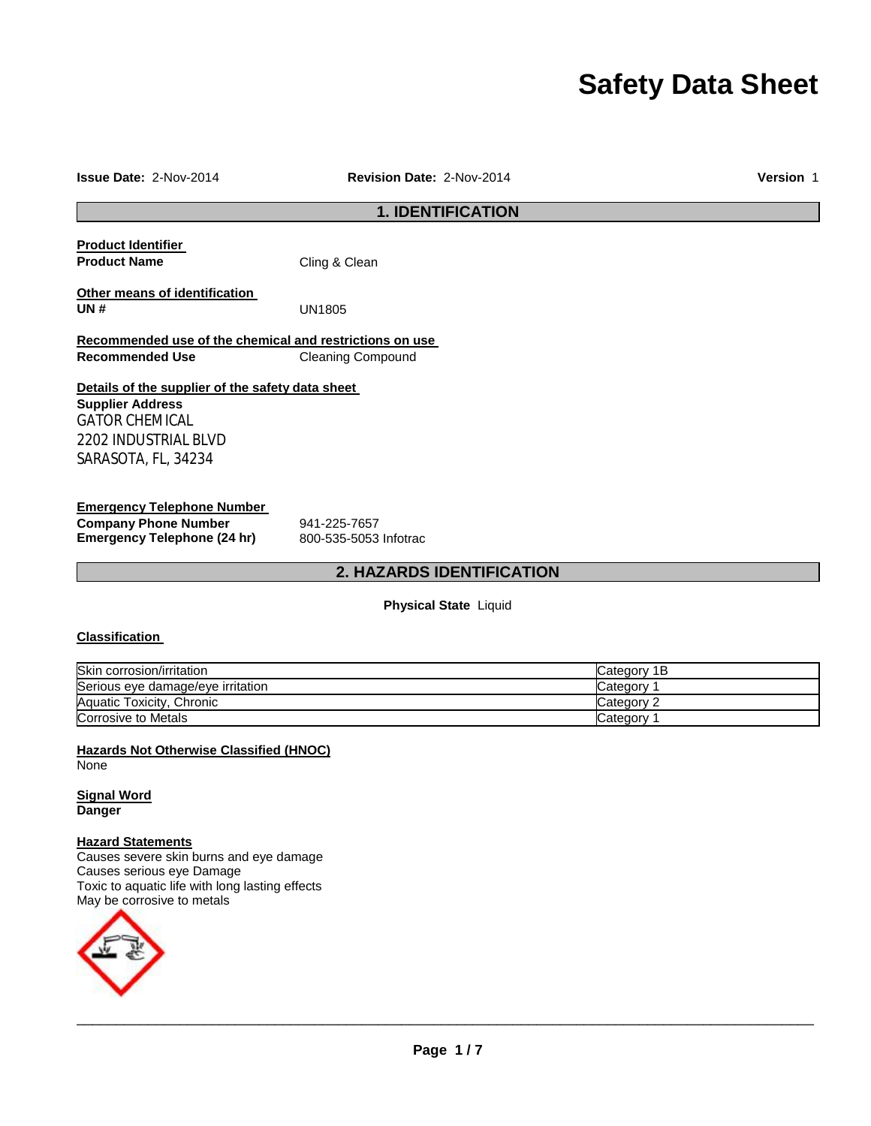# **Safety Data Sheet**

#### **Issue Date:** 2-Nov-2014 **Revision Date:** 2-Nov-2014 **Version** 1

# **1. IDENTIFICATION**

**Product Identifier Product Name** Cling & Clean

**Other means of identification UN #** UN1805

**Recommended use of the chemical and restrictions on use Recommended Use Cleaning Compound** 

**Details of the supplier of the safety data sheet Supplier Address**

GATOR CHEMICAL 2202 INDUSTRIAL BLVD SARASOTA, FL, 34234

#### **Emergency Telephone Number Company Phone Number** 941-225-7657<br> **Emergency Telephone (24 hr)** 800-535-5053 Infotrac **Emergency Telephone (24 hr)**

# **2. HAZARDS IDENTIFICATION**

## **Physical State** Liquid

#### **Classification**

| Skin corrosion/irritation         | Category 1B |
|-----------------------------------|-------------|
| Serious eye damage/eye irritation | Category    |
| Aquatic Toxicity, Chronic         | Categorv 2  |
| Corrosive to Metals               | Category    |

**Hazards Not Otherwise Classified (HNOC)** None

**Signal Word Danger** 

#### **Hazard Statements**

Causes severe skin burns and eye damage Causes serious eye Damage Toxic to aquatic life with long lasting effects May be corrosive to metals

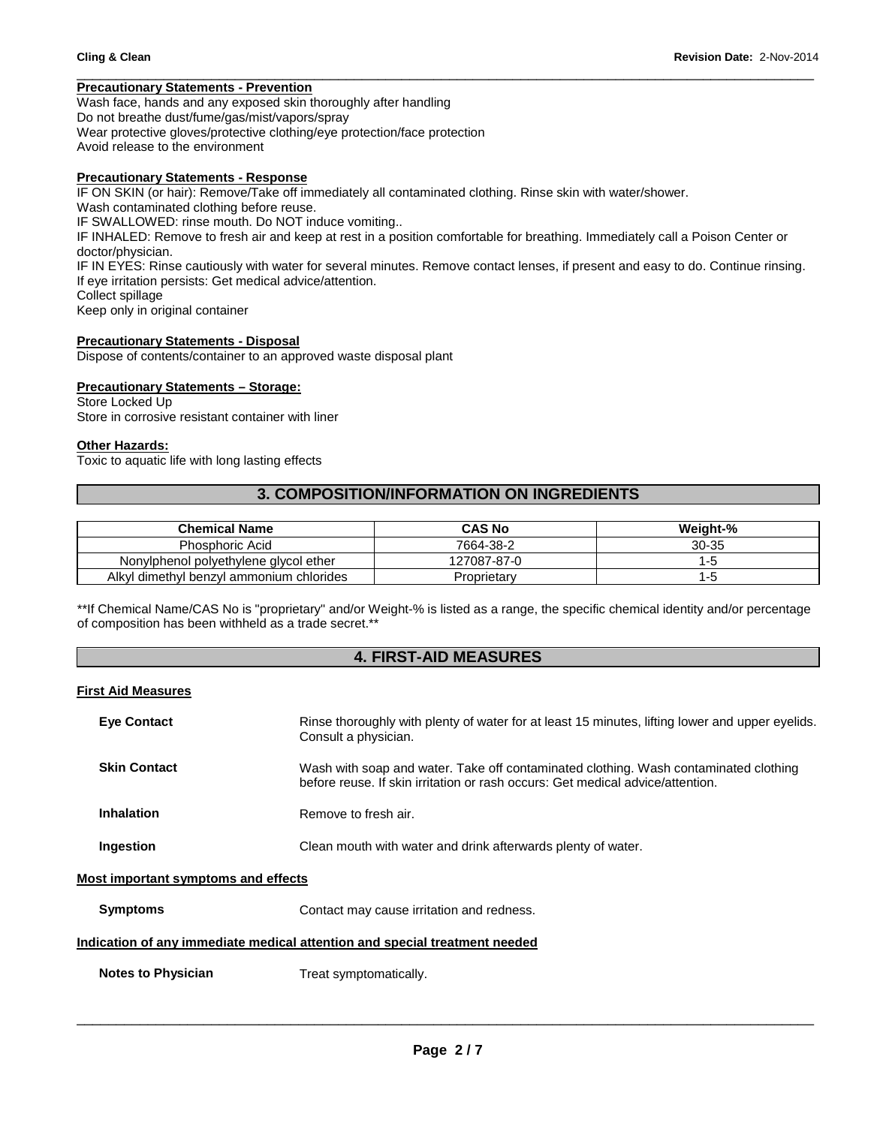#### **Precautionary Statements - Prevention**

Wash face, hands and any exposed skin thoroughly after handling Do not breathe dust/fume/gas/mist/vapors/spray Wear protective gloves/protective clothing/eye protection/face protection Avoid release to the environment

#### **Precautionary Statements - Response**

IF ON SKIN (or hair): Remove/Take off immediately all contaminated clothing. Rinse skin with water/shower. Wash contaminated clothing before reuse. IF SWALLOWED: rinse mouth. Do NOT induce vomiting.. IF INHALED: Remove to fresh air and keep at rest in a position comfortable for breathing. Immediately call a Poison Center or doctor/physician. IF IN EYES: Rinse cautiously with water for several minutes. Remove contact lenses, if present and easy to do. Continue rinsing. If eye irritation persists: Get medical advice/attention. Collect spillage

\_\_\_\_\_\_\_\_\_\_\_\_\_\_\_\_\_\_\_\_\_\_\_\_\_\_\_\_\_\_\_\_\_\_\_\_\_\_\_\_\_\_\_\_\_\_\_\_\_\_\_\_\_\_\_\_\_\_\_\_\_\_\_\_\_\_\_\_\_\_\_\_\_\_\_\_\_\_\_\_\_\_\_\_\_\_\_\_\_\_\_\_\_

Keep only in original container

#### **Precautionary Statements - Disposal**

Dispose of contents/container to an approved waste disposal plant

#### **Precautionary Statements – Storage:**

Store Locked Up Store in corrosive resistant container with liner

#### **Other Hazards:**

Toxic to aquatic life with long lasting effects

#### **3. COMPOSITION/INFORMATION ON INGREDIENTS**

| <b>Chemical Name</b>                     | <b>CAS No</b> | Weight-% |
|------------------------------------------|---------------|----------|
| <b>Phosphoric Acid</b>                   | 7664-38-2     | 30-35    |
| Nonylphenol polyethylene glycol ether    | 127087-87-0   | -5       |
| Alkyl dimethyl benzyl ammonium chlorides | Proprietary   | I-5      |

\*\*If Chemical Name/CAS No is "proprietary" and/or Weight-% is listed as a range, the specific chemical identity and/or percentage of composition has been withheld as a trade secret.\*\*

## **4. FIRST-AID MEASURES**

#### **First Aid Measures**

| <b>Eve Contact</b>  | Rinse thoroughly with plenty of water for at least 15 minutes, lifting lower and upper eyelids.<br>Consult a physician.                                                |
|---------------------|------------------------------------------------------------------------------------------------------------------------------------------------------------------------|
| <b>Skin Contact</b> | Wash with soap and water. Take off contaminated clothing. Wash contaminated clothing<br>before reuse. If skin irritation or rash occurs: Get medical advice/attention. |
| <b>Inhalation</b>   | Remove to fresh air.                                                                                                                                                   |
| Ingestion           | Clean mouth with water and drink afterwards plenty of water.                                                                                                           |

#### **Most important symptoms and effects**

**Symptoms Contact may cause irritation and redness.** 

#### **Indication of any immediate medical attention and special treatment needed**

**Notes to Physician Treat symptomatically.**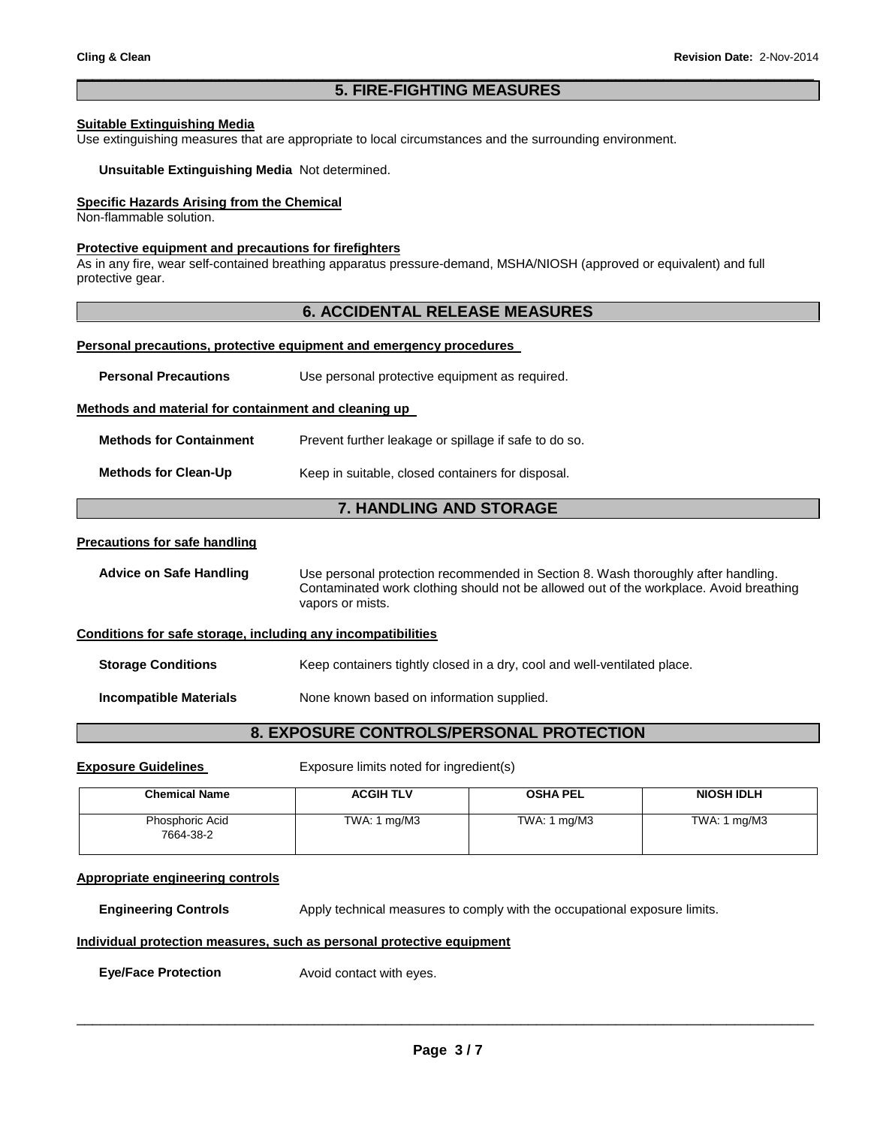#### \_\_\_\_\_\_\_\_\_\_\_\_\_\_\_\_\_\_\_\_\_\_\_\_\_\_\_\_\_\_\_\_\_\_\_\_\_\_\_\_\_\_\_\_\_\_\_\_\_\_\_\_\_\_\_\_\_\_\_\_\_\_\_\_\_\_\_\_\_\_\_\_\_\_\_\_\_\_\_\_\_\_\_\_\_\_\_\_\_\_\_\_\_ **5. FIRE-FIGHTING MEASURES**

# **Suitable Extinguishing Media**

Use extinguishing measures that are appropriate to local circumstances and the surrounding environment.

#### **Unsuitable Extinguishing Media** Not determined.

#### **Specific Hazards Arising from the Chemical**

Non-flammable solution.

# **Protective equipment and precautions for firefighters**

As in any fire, wear self-contained breathing apparatus pressure-demand, MSHA/NIOSH (approved or equivalent) and full protective gear.

#### **6. ACCIDENTAL RELEASE MEASURES**

#### **Personal precautions, protective equipment and emergency procedures**

| <b>Personal Precautions</b>                                  | Use personal protective equipment as required.                                                                                                                                                  |
|--------------------------------------------------------------|-------------------------------------------------------------------------------------------------------------------------------------------------------------------------------------------------|
| Methods and material for containment and cleaning up         |                                                                                                                                                                                                 |
| <b>Methods for Containment</b>                               | Prevent further leakage or spillage if safe to do so.                                                                                                                                           |
| <b>Methods for Clean-Up</b>                                  | Keep in suitable, closed containers for disposal.                                                                                                                                               |
|                                                              | <b>7. HANDLING AND STORAGE</b>                                                                                                                                                                  |
| Precautions for safe handling                                |                                                                                                                                                                                                 |
| <b>Advice on Safe Handling</b>                               | Use personal protection recommended in Section 8. Wash thoroughly after handling.<br>Contaminated work clothing should not be allowed out of the workplace. Avoid breathing<br>vapors or mists. |
| Conditions for safe storage, including any incompatibilities |                                                                                                                                                                                                 |
| <b>Storage Conditions</b>                                    | Keep containers tightly closed in a dry, cool and well-ventilated place.                                                                                                                        |
| <b>Incompatible Materials</b>                                | None known based on information supplied.                                                                                                                                                       |
|                                                              |                                                                                                                                                                                                 |

# **8. EXPOSURE CONTROLS/PERSONAL PROTECTION**

**Exposure Guidelines Exposure limits noted for ingredient(s)** 

| <b>Chemical Name</b>         | <b>ACGIH TLV</b>              | <b>OSHA PEL</b>               | <b>NIOSH IDLH</b> |
|------------------------------|-------------------------------|-------------------------------|-------------------|
| Phosphoric Acid<br>7664-38-2 | TWA: $1 \text{ mg}/\text{M}3$ | TWA: $1 \text{ mg}/\text{M}3$ | TWA: 1 mg/M3      |

#### **Appropriate engineering controls**

**Engineering Controls** Apply technical measures to comply with the occupational exposure limits.

#### **Individual protection measures, such as personal protective equipment**

**Eye/Face Protection** Avoid contact with eyes.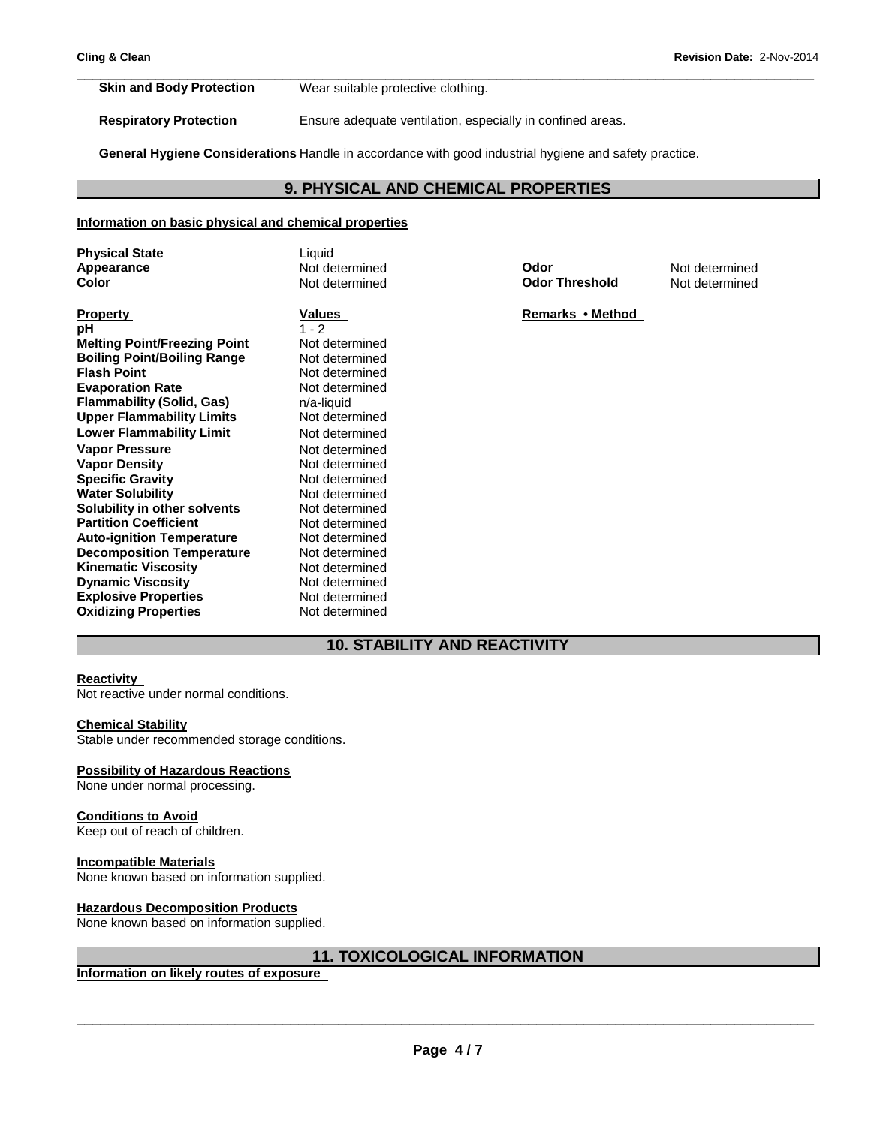**Skin and Body Protection** Wear suitable protective clothing.

**Respiratory Protection** Ensure adequate ventilation, especially in confined areas.

**General Hygiene Considerations** Handle in accordance with good industrial hygiene and safety practice.

# **9. PHYSICAL AND CHEMICAL PROPERTIES**

\_\_\_\_\_\_\_\_\_\_\_\_\_\_\_\_\_\_\_\_\_\_\_\_\_\_\_\_\_\_\_\_\_\_\_\_\_\_\_\_\_\_\_\_\_\_\_\_\_\_\_\_\_\_\_\_\_\_\_\_\_\_\_\_\_\_\_\_\_\_\_\_\_\_\_\_\_\_\_\_\_\_\_\_\_\_\_\_\_\_\_\_\_

#### **Information on basic physical and chemical properties**

| <b>Physical State</b><br>Appearance<br>Color | Liquid<br>Not determined<br>Not determined | Odor<br><b>Odor Threshold</b> | Not determined<br>Not determined |
|----------------------------------------------|--------------------------------------------|-------------------------------|----------------------------------|
| Property                                     | Values                                     | Remarks • Method              |                                  |
| pН                                           | $1 - 2$                                    |                               |                                  |
| <b>Melting Point/Freezing Point</b>          | Not determined                             |                               |                                  |
| <b>Boiling Point/Boiling Range</b>           | Not determined                             |                               |                                  |
| <b>Flash Point</b>                           | Not determined                             |                               |                                  |
| <b>Evaporation Rate</b>                      | Not determined                             |                               |                                  |
| Flammability (Solid, Gas)                    | n/a-liquid                                 |                               |                                  |
| <b>Upper Flammability Limits</b>             | Not determined                             |                               |                                  |
| Lower Flammability Limit                     | Not determined                             |                               |                                  |
| Vapor Pressure                               | Not determined                             |                               |                                  |
| <b>Vapor Density</b>                         | Not determined                             |                               |                                  |
| <b>Specific Gravity</b>                      | Not determined                             |                               |                                  |
| <b>Water Solubility</b>                      | Not determined                             |                               |                                  |
| Solubility in other solvents                 | Not determined                             |                               |                                  |
| <b>Partition Coefficient</b>                 | Not determined                             |                               |                                  |
| <b>Auto-ignition Temperature</b>             | Not determined                             |                               |                                  |
| <b>Decomposition Temperature</b>             | Not determined                             |                               |                                  |
| Kinematic Viscosity                          | Not determined                             |                               |                                  |
| <b>Dynamic Viscosity</b>                     | Not determined                             |                               |                                  |
| <b>Explosive Properties</b>                  | Not determined                             |                               |                                  |
| <b>Oxidizing Properties</b>                  | Not determined                             |                               |                                  |

# **10. STABILITY AND REACTIVITY**

#### **Reactivity**

Not reactive under normal conditions.

### **Chemical Stability**

Stable under recommended storage conditions.

#### **Possibility of Hazardous Reactions**

None under normal processing.

#### **Conditions to Avoid**

Keep out of reach of children.

# **Incompatible Materials**

None known based on information supplied.

#### **Hazardous Decomposition Products**

None known based on information supplied.

# **11. TOXICOLOGICAL INFORMATION**

**Information on likely routes of exposure**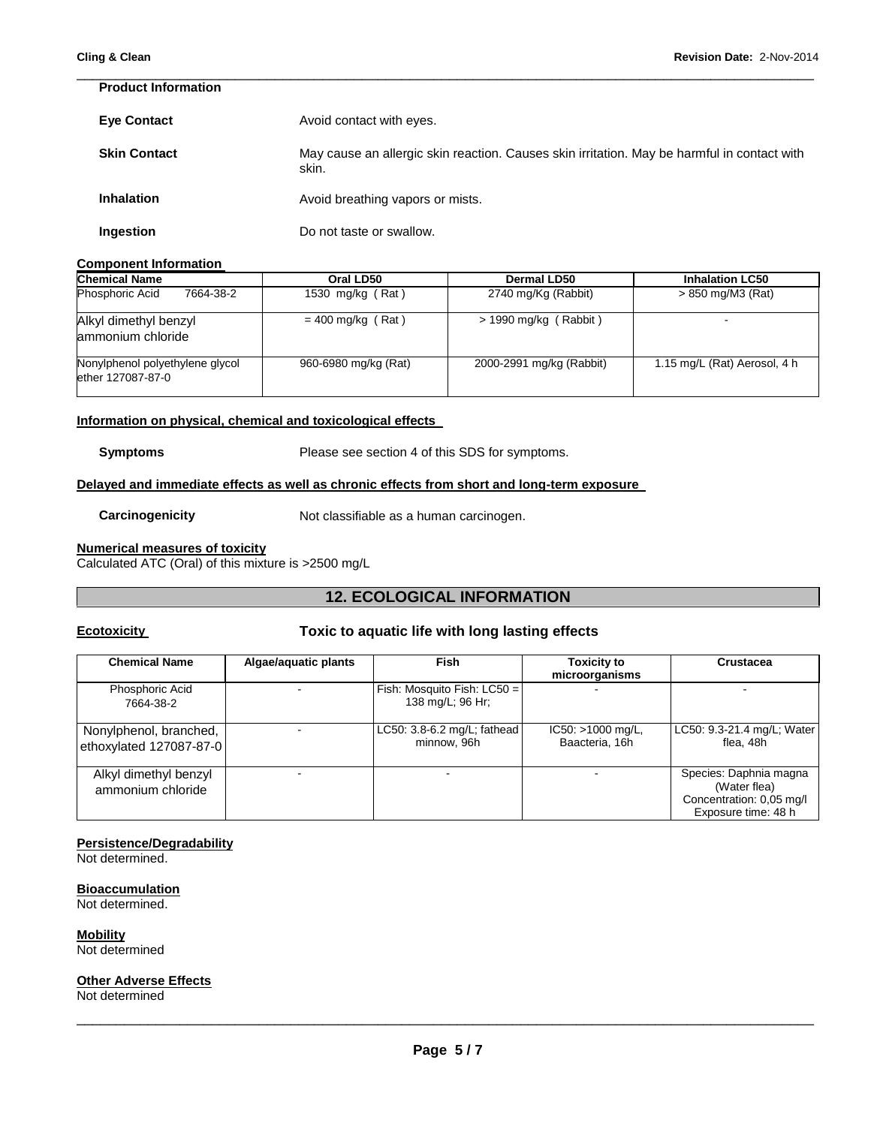# **Product Information Eye Contact Avoid contact with eyes. Skin Contact** May cause an allergic skin reaction. Causes skin irritation. May be harmful in contact with skin. **Inhalation Avoid breathing vapors or mists. Ingestion Do not taste or swallow.**

\_\_\_\_\_\_\_\_\_\_\_\_\_\_\_\_\_\_\_\_\_\_\_\_\_\_\_\_\_\_\_\_\_\_\_\_\_\_\_\_\_\_\_\_\_\_\_\_\_\_\_\_\_\_\_\_\_\_\_\_\_\_\_\_\_\_\_\_\_\_\_\_\_\_\_\_\_\_\_\_\_\_\_\_\_\_\_\_\_\_\_\_\_

#### **Component Information**

| <b>Chemical Name</b>                                 | Oral LD50            | Dermal LD50              | <b>Inhalation LC50</b>       |  |
|------------------------------------------------------|----------------------|--------------------------|------------------------------|--|
| <b>Phosphoric Acid</b><br>7664-38-2                  | 1530 mg/kg (Rat)     | 2740 mg/Kg (Rabbit)      | > 850 mg/M3 (Rat)            |  |
| Alkyl dimethyl benzyl<br>ammonium chloride           | $= 400$ mg/kg (Rat)  | $>$ 1990 mg/kg (Rabbit)  |                              |  |
| Nonylphenol polyethylene glycol<br>ether 127087-87-0 | 960-6980 mg/kg (Rat) | 2000-2991 mg/kg (Rabbit) | 1.15 mg/L (Rat) Aerosol, 4 h |  |

#### **Information on physical, chemical and toxicological effects**

**Symptoms** Please see section 4 of this SDS for symptoms.

#### **Delayed and immediate effects as well as chronic effects from short and long-term exposure**

**Carcinogenicity Not classifiable as a human carcinogen.** 

# **Numerical measures of toxicity**

Calculated ATC (Oral) of this mixture is >2500 mg/L

# **12. ECOLOGICAL INFORMATION**

# **Ecotoxicity Toxic to aquatic life with long lasting effects**

| <b>Chemical Name</b>                              | Algae/aquatic plants | Fish                                            | <b>Toxicity to</b><br>microorganisms  | Crustacea                                                                                 |
|---------------------------------------------------|----------------------|-------------------------------------------------|---------------------------------------|-------------------------------------------------------------------------------------------|
| Phosphoric Acid<br>7664-38-2                      |                      | Fish: Mosquito Fish: LC50 =<br>138 mg/L; 96 Hr; |                                       |                                                                                           |
| Nonylphenol, branched,<br>ethoxylated 127087-87-0 |                      | LC50: 3.8-6.2 mg/L; fathead<br>minnow, 96h      | $IC50: >1000$ mg/L,<br>Baacteria, 16h | LC50: 9.3-21.4 mg/L; Water<br>flea, 48h                                                   |
| Alkyl dimethyl benzyl<br>ammonium chloride        |                      |                                                 |                                       | Species: Daphnia magna<br>(Water flea)<br>Concentration: 0,05 mg/l<br>Exposure time: 48 h |

#### **Persistence/Degradability**

Not determined.

#### **Bioaccumulation**

Not determined.

**Mobility** Not determined

#### **Other Adverse Effects**

Not determined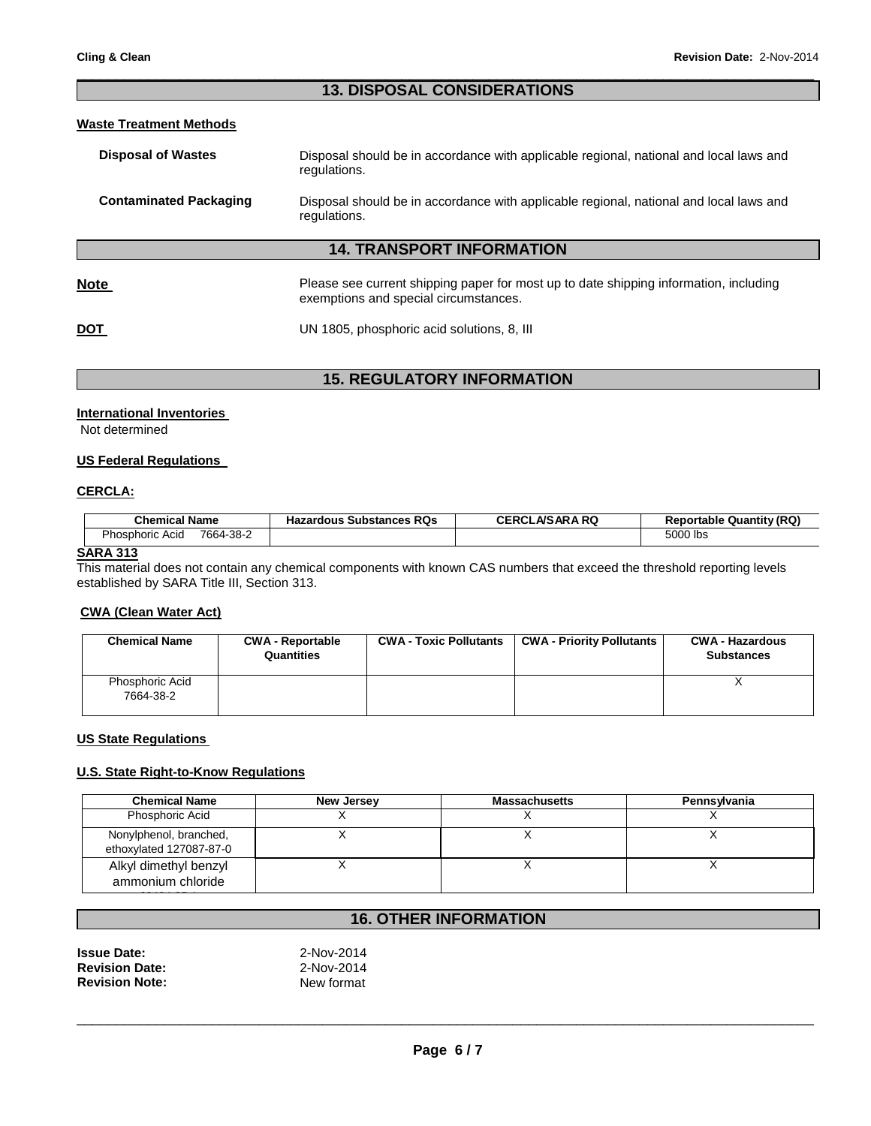#### \_\_\_\_\_\_\_\_\_\_\_\_\_\_\_\_\_\_\_\_\_\_\_\_\_\_\_\_\_\_\_\_\_\_\_\_\_\_\_\_\_\_\_\_\_\_\_\_\_\_\_\_\_\_\_\_\_\_\_\_\_\_\_\_\_\_\_\_\_\_\_\_\_\_\_\_\_\_\_\_\_\_\_\_\_\_\_\_\_\_\_\_\_ **13. DISPOSAL CONSIDERATIONS**

#### **Waste Treatment Methods**

| <b>Disposal of Wastes</b>     | Disposal should be in accordance with applicable regional, national and local laws and<br>regulations.                         |
|-------------------------------|--------------------------------------------------------------------------------------------------------------------------------|
| <b>Contaminated Packaging</b> | Disposal should be in accordance with applicable regional, national and local laws and<br>regulations.                         |
|                               | <b>14. TRANSPORT INFORMATION</b>                                                                                               |
| Note                          | Please see current shipping paper for most up to date shipping information, including<br>exemptions and special circumstances. |

I.

**DOT** UN 1805, phosphoric acid solutions, 8, III

# **15. REGULATORY INFORMATION**

# **International Inventories**

Not determined

### **US Federal Regulations**

# **CERCLA:**

| <b>Chemical Name</b>         | <b>Hazardous Substances RQs</b> | <b>CERCLA/SARA RQ</b> | <b>Reportable Quantity (RQ)</b> |
|------------------------------|---------------------------------|-----------------------|---------------------------------|
| Phosphoric Acid<br>7664-38-2 |                                 |                       | 5000 lbs                        |

# **SARA 313**

This material does not contain any chemical components with known CAS numbers that exceed the threshold reporting levels established by SARA Title III, Section 313.

#### **CWA (Clean Water Act)**

| <b>Chemical Name</b>         | <b>CWA - Reportable</b><br>Quantities | <b>CWA - Toxic Pollutants</b> | <b>CWA - Priority Pollutants</b> | <b>CWA - Hazardous</b><br><b>Substances</b> |
|------------------------------|---------------------------------------|-------------------------------|----------------------------------|---------------------------------------------|
| Phosphoric Acid<br>7664-38-2 |                                       |                               |                                  |                                             |

#### **US State Regulations**

# **U.S. State Right-to-Know Regulations**

| <b>Chemical Name</b>                              | New Jersey | <b>Massachusetts</b> | Pennsylvania |
|---------------------------------------------------|------------|----------------------|--------------|
| Phosphoric Acid                                   |            |                      |              |
| Nonylphenol, branched,<br>ethoxylated 127087-87-0 |            |                      |              |
| Alkyl dimethyl benzyl<br>ammonium chloride        |            |                      |              |

# **16. OTHER INFORMATION**

| <b>Issue Date:</b>    | 2-Nov-2014 |
|-----------------------|------------|
| <b>Revision Date:</b> | 2-Nov-2014 |
| <b>Revision Note:</b> | New format |